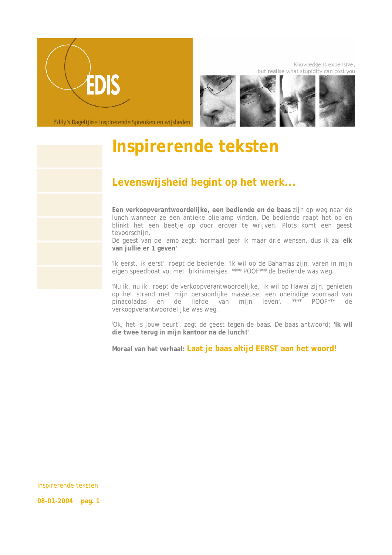

Knowledge is expensive, but realise what stupidity can cost you



Eddy's Dagelijkse Inspirerende Spreuken en wijsheden

## **Inspirerende teksten**

## **Levenswijsheid begint op het werk...**

**Een verkoopverantwoordelijke, een bediende en de baas** zijn op weg naar de lunch wanneer ze een antieke olielamp vinden. De bediende raapt het op en blinkt het een beetje op door erover te wrijven. Plots komt een geest tevoorschijn.

De geest van de lamp zegt: 'normaal geef ik maar drie wensen, dus ik zal **elk van jullie er 1 geven'**.

'Ik eerst, ik eerst', roept de bediende. 'Ik wil op de Bahamas zijn, varen in mijn eigen speedboat vol met bikinimeisjes. \*\*\*\* POOF\*\*\* de bediende was weg.

'Nu ik, nu ik', roept de verkoopverantwoordelijke, 'ik wil op Hawaï zijn, genieten op het strand met mijn persoonlijke masseuse, een oneindige voorraad van pinacoladas en de liefde van mijn leven'. \*\*\*\* POOF\*\*\* de verkoopverantwoordelijke was weg.

'Ok, het is jouw beurt', zegt de geest tegen de baas. De baas antwoord; **'ik wil die twee terug in mijn kantoor na de lunch!'** 

**Moraal van het verhaal: Laat je baas altijd EERST aan het woord!**

Inspirerende teksten

**08-01-2004 pag. 1**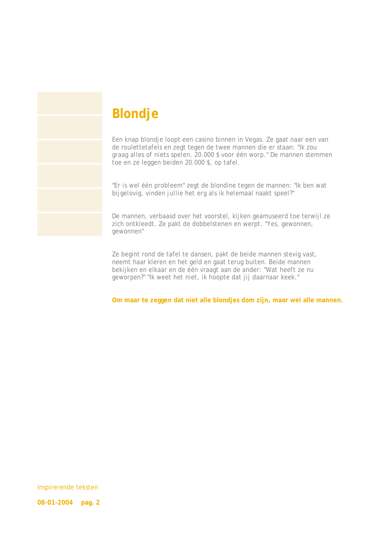## **Blondje**

Een knap blondje loopt een casino binnen in Vegas. Ze gaat naar een van de roulettetafels en zegt tegen de twee mannen die er staan: *"Ik zou graag alles of niets spelen. 20.000 \$ voor één worp."* De mannen stemmen toe en ze leggen beiden 20.000 \$, op tafel.

*"Er is wel één probleem"* zegt de blondine tegen de mannen: *"Ik ben wat bijgelovig, vinden jullie het erg als ik helemaal naakt speel?"* 

De mannen, verbaasd over het voorstel, kijken geamuseerd toe terwijl ze zich ontkleedt. Ze pakt de dobbelstenen en werpt. *"Yes, gewonnen, gewonnen"* 

Ze begint rond de tafel te dansen, pakt de beide mannen stevig vast, neemt haar kleren en het geld en gaat terug buiten. Beide mannen bekijken en elkaar en de één vraagt aan de ander: *"Wat heeft ze nu geworpen?" "Ik weet het niet, ik hoopte dat jij daarnaar keek."* 

**Om maar te zeggen dat niet alle blondjes dom zijn, maar wel alle mannen.** 

Inspirerende teksten

**08-01-2004 pag. 2**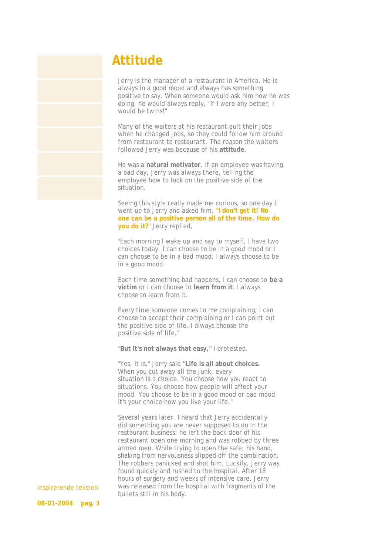## **Attitude**

 Jerry is the manager of a restaurant in America. He is always in a good mood and always has something positive to say. When someone would ask him how he was doing, he would always reply, "If I were any better, I would be twins!"

 Many of the waiters at his restaurant quit their jobs when he changed jobs, so they could follow him around from restaurant to restaurant. The reason the waiters followed Jerry was because of his **attitude**.

 He was a **natural motivator**. If an employee was having a bad day, Jerry was always there, telling the employee how to look on the positive side of the situation.

 Seeing this style really made me curious, so one day I went up to Jerry and asked him, **"I don't get it! No one can be a positive person all of the time. How do you do it?"** Jerry replied,

 "Each morning I wake up and say to myself, I have two choices today. I can choose to be in a good mood or I can choose to be in a bad mood. I always choose to be in a good mood.

 Each time something bad happens, I can choose to **be a victim** or I can choose to **learn from it**. I always choose to learn from it.

 Every time someone comes to me complaining, I can choose to accept their complaining or I can point out the positive side of life. I always choose the positive side of life."

**"But it's not always that easy,"** I protested.

 "Yes, it is," Jerry said **"Life is all about choices.** When you cut away all the junk, every situation is a choice. You choose how you react to situations. You choose how people will affect your mood. You choose to be in a good mood or bad mood. It's your choice how you live your life."

 Several years later, I heard that Jerry accidentally did something you are never supposed to do in the restaurant business: he left the back door of his restaurant open one morning and was robbed by three armed men. While trying to open the safe, his hand, shaking from nervousness slipped off the combination. The robbers panicked and shot him. Luckily, Jerry was found quickly and rushed to the hospital. After 18 hours of surgery and weeks of intensive care, Jerry was released from the hospital with fragments of the bullets still in his body.

Inspirerende teksten **08-01-2004 pag. 3**